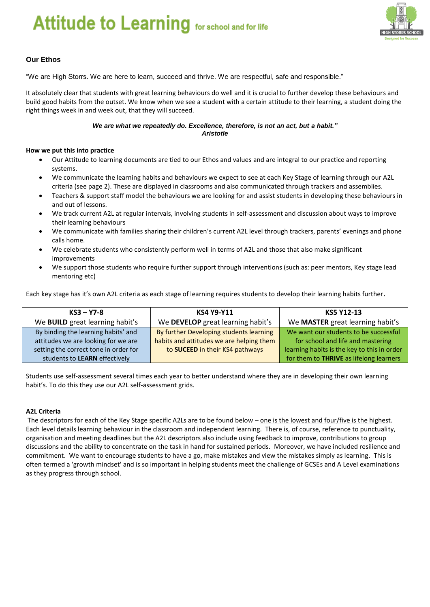# *We are what we repeatedly do. Excellence, therefore, is not an act, but a habit."*



#### **Our Ethos**

"We are High Storrs. We are here to learn, succeed and thrive. We are respectful, safe and responsible."

It absolutely clear that students with great learning behaviours do well and it is crucial to further develop these behaviours and build good habits from the outset. We know when we see a student with a certain attitude to their learning, a student doing the right things week in and week out, that they will succeed.

#### *We are what we repeatedly do. Excellence, therefore, is not an act, but a habit." Aristotle*

#### **How we put this into practice**

- Our Attitude to learning documents are tied to our Ethos and values and are integral to our practice and reporting systems.
- We communicate the learning habits and behaviours we expect to see at each Key Stage of learning through our A2L criteria (see page 2). These are displayed in classrooms and also communicated through trackers and assemblies.
- Teachers & support staff model the behaviours we are looking for and assist students in developing these behaviours in and out of lessons.
- We track current A2L at regular intervals, involving students in self-assessment and discussion about ways to improve their learning behaviours
- We communicate with families sharing their children's current A2L level through trackers, parents' evenings and phone calls home.
- We celebrate students who consistently perform well in terms of A2L and those that also make significant improvements
- We support those students who require further support through interventions (such as: peer mentors, Key stage lead mentoring etc)

Each key stage has it's own A2L criteria as each stage of learning requires students to develop their learning habits further**.** 

| $KS3 - Y7-8$                           | <b>KS4 Y9-Y11</b>                        | KS5 Y12-13                                  |
|----------------------------------------|------------------------------------------|---------------------------------------------|
| We <b>BUILD</b> great learning habit's | We DEVELOP great learning habit's        | We MASTER great learning habit's            |
| By binding the learning habits' and    | By further Developing students learning  | We want our students to be successful       |
| attitudes we are looking for we are    | habits and attitudes we are helping them | for school and life and mastering           |
| setting the correct tone in order for  | to SUCEED in their KS4 pathways          | learning habits is the key to this in order |
| students to LEARN effectively          |                                          | for them to THRIVE as lifelong learners     |

Students use self-assessment several times each year to better understand where they are in developing their own learning habit's. To do this they use our A2L self-assessment grids.

#### **A2L Criteria**

The descriptors for each of the Key Stage specific A2Ls are to be found below – one is the lowest and four/five is the highest. Each level details learning behaviour in the classroom and independent learning. There is, of course, reference to punctuality, organisation and meeting deadlines but the A2L descriptors also include using feedback to improve, contributions to group discussions and the ability to concentrate on the task in hand for sustained periods. Moreover, we have included resilience and commitment. We want to encourage students to have a go, make mistakes and view the mistakes simply as learning. This is often termed a 'growth mindset' and is so important in helping students meet the challenge of GCSEs and A Level examinations as they progress through school.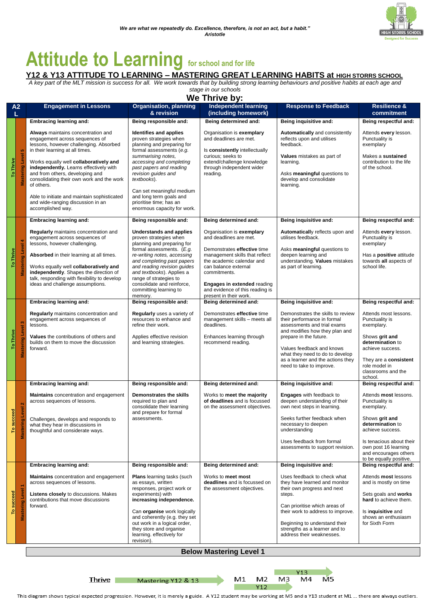# **Attitude to Learning for school and for life**

#### **Y12 & Y13 ATTITUDE TO LEARNING – MASTERING GREAT LEARNING HABITS at HIGH STORRS SCHOOL**

*A key part of the MLT mission is success for all. We work towards that by building strong learning behaviours and positive habits at each age and stage in our schools*

**We Thrive by:**

|                                                |                                        |                                                                                                                                                                                                                                                                                                                                                                                                                                              |                                                                                                                                                                                                                                                                                                                                                 | AAA IIIIIAA NA'                                                                                                                                                                                                                 |                                                                                                                                                                                                     |                                                                                                                                  |
|------------------------------------------------|----------------------------------------|----------------------------------------------------------------------------------------------------------------------------------------------------------------------------------------------------------------------------------------------------------------------------------------------------------------------------------------------------------------------------------------------------------------------------------------------|-------------------------------------------------------------------------------------------------------------------------------------------------------------------------------------------------------------------------------------------------------------------------------------------------------------------------------------------------|---------------------------------------------------------------------------------------------------------------------------------------------------------------------------------------------------------------------------------|-----------------------------------------------------------------------------------------------------------------------------------------------------------------------------------------------------|----------------------------------------------------------------------------------------------------------------------------------|
| A <sub>2</sub>                                 |                                        | <b>Engagement in Lessons</b>                                                                                                                                                                                                                                                                                                                                                                                                                 | <b>Organisation, planning</b><br>& revision                                                                                                                                                                                                                                                                                                     | <b>Independent learning</b><br>(including homework)                                                                                                                                                                             | <b>Response to Feedback</b>                                                                                                                                                                         | <b>Resilience &amp;</b><br>commitment                                                                                            |
|                                                |                                        | <b>Embracing learning and:</b>                                                                                                                                                                                                                                                                                                                                                                                                               | Being responsible and:                                                                                                                                                                                                                                                                                                                          | Being determined and:                                                                                                                                                                                                           | Being inquisitive and:                                                                                                                                                                              | Being respectful and:                                                                                                            |
| in,<br>ing Level<br><b>To Thrive</b><br>Mastel |                                        | Always maintains concentration and<br>engagement across sequences of<br>lessons, however challenging. Absorbed<br>in their learning at all times.<br>Works equally well collaboratively and<br>independently. Learns effectively with<br>and from others, developing and<br>consolidating their own work and the work<br>of others.<br>Able to initiate and maintain sophisticated<br>and wide-ranging discussion in an<br>accomplished way. | Identifies and applies<br>proven strategies when<br>planning and preparing for<br>formal assessments (e.g.<br>summarising notes,<br>accessing and completing<br>past papers and reading<br>revision guides and<br>textbooks).<br>Can set meaningful medium<br>and long term goals and<br>prioritise time; has an<br>enormous capacity for work. | Organisation is exemplary<br>and deadlines are met.<br>Is consistently intellectually<br>curious; seeks to<br>extend/challenge knowledge<br>through independent wider<br>reading.                                               | Automatically and consistently<br>reflects upon and utilises<br>feedback.<br><b>Values</b> mistakes as part of<br>learning.<br>Asks meaningful questions to<br>develop and consolidate<br>learning. | Attends every lesson.<br>Punctuality is<br>exemplary<br>Makes a sustained<br>contribution to the life<br>of the school.          |
|                                                |                                        | <b>Embracing learning and:</b>                                                                                                                                                                                                                                                                                                                                                                                                               | Being responsible and:                                                                                                                                                                                                                                                                                                                          | Being determined and:                                                                                                                                                                                                           | Being inquisitive and:                                                                                                                                                                              | Being respectful and:                                                                                                            |
| <b>To Thrive</b>                               | Level 4<br>g                           | Regularly maintains concentration and<br>engagement across sequences of<br>lessons, however challenging.<br><b>Absorbed</b> in their learning at all times.<br>Works equally well collaboratively and<br>independently. Shapes the direction of<br>talk, responding with flexibility to develop<br>ideas and challenge assumptions.                                                                                                          | <b>Understands and applies</b><br>proven strategies when<br>planning and preparing for<br>formal assessments. (E.g.<br>re-writing notes, accessing<br>and completing past papers<br>and reading revision guides<br>and textbooks). Applies a<br>range of strategies to<br>consolidate and reinforce,                                            | Organisation is exemplary<br>and deadlines are met.<br>Demonstrates effective time<br>management skills that reflect<br>the academic calendar and<br>can balance external<br>commitments.<br><b>Engages in extended reading</b> | Automatically reflects upon and<br>utilises feedback.<br>Asks meaningful questions to<br>deepen learning and<br>understanding. Values mistakes<br>as part of learning.                              | Attends every lesson.<br>Punctuality is<br>exemplary<br>Has a <b>positive</b> attitude<br>towards all aspects of<br>school life. |
|                                                |                                        |                                                                                                                                                                                                                                                                                                                                                                                                                                              | committing learning to<br>memory.                                                                                                                                                                                                                                                                                                               | and evidence of this reading is<br>present in their work.                                                                                                                                                                       |                                                                                                                                                                                                     |                                                                                                                                  |
|                                                |                                        | <b>Embracing learning and:</b>                                                                                                                                                                                                                                                                                                                                                                                                               | Being responsible and:                                                                                                                                                                                                                                                                                                                          | Being determined and:                                                                                                                                                                                                           | Being inquisitive and:                                                                                                                                                                              | Being respectful and:                                                                                                            |
| To Thrive                                      | Mastering Level 3                      | Regularly maintains concentration and<br>engagement across sequences of<br>lessons.<br>Values the contributions of others and<br>builds on them to move the discussion                                                                                                                                                                                                                                                                       | Regularly uses a variety of<br>resources to enhance and<br>refine their work.<br>Applies effective revision<br>and learning strategies.                                                                                                                                                                                                         | Demonstrates effective time<br>management skills - meets all<br>deadlines.<br>Enhances learning through<br>recommend reading.                                                                                                   | Demonstrates the skills to review<br>their performance in formal<br>assessments and trial exams<br>and modifies how they plan and<br>prepare in the future.                                         | Attends most lessons.<br>Punctuality is<br>exemplary.<br>Shows grit and<br>determination to                                      |
|                                                |                                        | forward.                                                                                                                                                                                                                                                                                                                                                                                                                                     |                                                                                                                                                                                                                                                                                                                                                 |                                                                                                                                                                                                                                 | Values feedback and knows<br>what they need to do to develop<br>as a learner and the actions they<br>need to take to improve.                                                                       | achieve success.<br>They are a consistent<br>role model in<br>classrooms and the<br>school.                                      |
|                                                |                                        | Embracing learning and:                                                                                                                                                                                                                                                                                                                                                                                                                      | Being responsible and:                                                                                                                                                                                                                                                                                                                          | Being determined and:                                                                                                                                                                                                           | Being inquisitive and:                                                                                                                                                                              | Being respectful and:                                                                                                            |
| <b>Icceed</b>                                  | $\mathbf{\Omega}$<br>Level<br>$\sigma$ | <b>Maintains</b> concentration and engagement<br>across sequences of lessons.<br>Challenges, develops and responds to                                                                                                                                                                                                                                                                                                                        | Demonstrates the skills<br>required to plan and<br>consolidate their learning<br>and prepare for formal<br>assessments.                                                                                                                                                                                                                         | Works to meet the majority<br>of deadlines and is focussed<br>on the assessment objectives.                                                                                                                                     | <b>Engages</b> with feedback to<br>deepen understanding of their<br>own next steps in learning.<br>Seeks further feedback when                                                                      | Attends most lessons.<br>Punctuality is<br>exemplary.<br>Shows grit and                                                          |
| To su                                          | <b>Master</b>                          | what they hear in discussions in<br>thoughtful and considerate ways.                                                                                                                                                                                                                                                                                                                                                                         |                                                                                                                                                                                                                                                                                                                                                 |                                                                                                                                                                                                                                 | necessary to deepen<br>understanding                                                                                                                                                                | determination to<br>achieve success.                                                                                             |
|                                                |                                        |                                                                                                                                                                                                                                                                                                                                                                                                                                              |                                                                                                                                                                                                                                                                                                                                                 |                                                                                                                                                                                                                                 | Uses feedback from formal<br>assessments to support revision.                                                                                                                                       | Is tenacious about their<br>own post 16 learning<br>and encourages others<br>to be equally positive.                             |
|                                                |                                        | <b>Embracing learning and:</b>                                                                                                                                                                                                                                                                                                                                                                                                               | Being responsible and:                                                                                                                                                                                                                                                                                                                          | Being determined and:                                                                                                                                                                                                           | Being inquisitive and:                                                                                                                                                                              | Being respectful and:                                                                                                            |
|                                                |                                        | <b>Maintains</b> concentration and engagement<br>across sequences of lessons.<br>Listens closely to discussions. Makes                                                                                                                                                                                                                                                                                                                       | <b>Plans</b> learning tasks (such<br>as essays, written<br>responses, project work or<br>experiments) with                                                                                                                                                                                                                                      | Works to meet most<br>deadlines and is focussed on<br>the assessment objectives.                                                                                                                                                | Uses feedback to check what<br>they have learned and monitor<br>their own progress and next<br>steps.                                                                                               | Attends most lessons<br>and is mostly on time<br>Sets goals and works                                                            |
| To succeed                                     | <b>Mastering Level 1</b>               | contributions that move discussions<br>forward.                                                                                                                                                                                                                                                                                                                                                                                              | increasing independence.<br>Can organise work logically<br>and coherently (e.g. they set<br>out work in a logical order,<br>they store and organise<br>learning. effectively for<br>revision).                                                                                                                                                  |                                                                                                                                                                                                                                 | Can prioritise which areas of<br>their work to address to improve.<br>Beginning to understand their<br>strengths as a learner and to<br>address their weaknesses.                                   | hard to achieve them.<br>Is inquisitive and<br>shows an enthusiasm<br>for Sixth Form                                             |
|                                                |                                        |                                                                                                                                                                                                                                                                                                                                                                                                                                              |                                                                                                                                                                                                                                                                                                                                                 |                                                                                                                                                                                                                                 |                                                                                                                                                                                                     |                                                                                                                                  |

**Below Mastering Level 1**

**Thrive** 

Mastering Y12 & 13

 $M1$ 

 $M<sub>2</sub>$ 

Y12

 $M<sub>3</sub>$ 

This diagram shows typical expected progression. However, it is merely a guide. A Y12 student may be working at M5 and a Y13 student at M1 ... there are always outliers.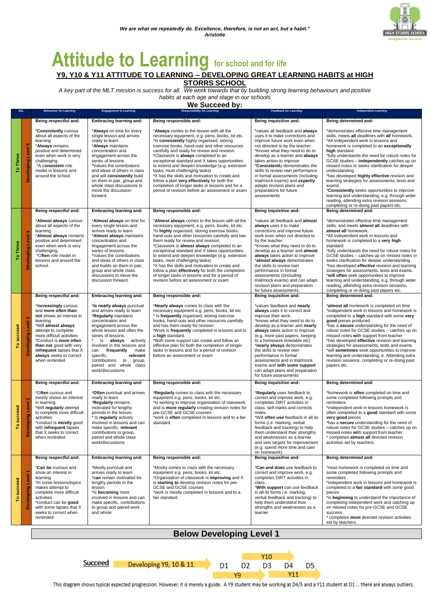

## **Attitude to Learning for school and for life Y9, Y10 & Y11 ATTITUDE TO LEARNING – DEVELOPING GREAT LEARNING HABITS at HIGH**

**STORRS SCHOOL**

*A key part of the MLT mission is success for all. We work towards that by building strong learning behaviours and positive habits at each age and stage in our schools*

**We Succeed by:**

|              | A <sub>2</sub> L                           | <b>Behaviour for Learning</b>                                                                                                                                                                                                                                                                | <b>Engagement in Learning</b>                                                                                                                                                                                                                                                                                                                                             | <b>Responsibility for Learning</b>                                                                                                                                                                                                                                                                                                                                                                                                                                                                                                                                                                                                   | <b>Feedback for Learning</b>                                                                                                                                                                                                                                                                                                                                                                                                                                                   | <b>Independent Learning</b>                                                                                                                                                                                                                                                                                                                                                                                                                                                                                                                                                                                                                                                  |
|--------------|--------------------------------------------|----------------------------------------------------------------------------------------------------------------------------------------------------------------------------------------------------------------------------------------------------------------------------------------------|---------------------------------------------------------------------------------------------------------------------------------------------------------------------------------------------------------------------------------------------------------------------------------------------------------------------------------------------------------------------------|--------------------------------------------------------------------------------------------------------------------------------------------------------------------------------------------------------------------------------------------------------------------------------------------------------------------------------------------------------------------------------------------------------------------------------------------------------------------------------------------------------------------------------------------------------------------------------------------------------------------------------------|--------------------------------------------------------------------------------------------------------------------------------------------------------------------------------------------------------------------------------------------------------------------------------------------------------------------------------------------------------------------------------------------------------------------------------------------------------------------------------|------------------------------------------------------------------------------------------------------------------------------------------------------------------------------------------------------------------------------------------------------------------------------------------------------------------------------------------------------------------------------------------------------------------------------------------------------------------------------------------------------------------------------------------------------------------------------------------------------------------------------------------------------------------------------|
|              |                                            | Being respectful and:                                                                                                                                                                                                                                                                        | Embracing learning and:                                                                                                                                                                                                                                                                                                                                                   | Being responsible and:                                                                                                                                                                                                                                                                                                                                                                                                                                                                                                                                                                                                               | Being inquisitive and:                                                                                                                                                                                                                                                                                                                                                                                                                                                         | Being determined and:                                                                                                                                                                                                                                                                                                                                                                                                                                                                                                                                                                                                                                                        |
| To Thrive    | in,<br>Level<br>ing<br>ē<br>Deve           | *Consistently curious<br>about all aspects of the<br>learning<br>* <b>Always</b> remains<br>positive and determined<br>even when work is very<br>challenging.<br>*A consistent role<br>model in lessons and<br>around the school.                                                            | *Always on time for every<br>single lesson and arrives<br>ready to learn<br>*Always maintains<br>concentration and<br>engagement across the<br>series of lessons.<br>*Values the contributions<br>and ideas of others in class<br>and will consistently build<br>on them in pair, group and<br>whole class discussions to<br>move the discussion<br>forward.              | *Always comes to the lesson with all the<br>necessary equipment, e.g. pens, books, kit etc.<br>*Is consistently highly organised, storing<br>exercise books, hand-outs and other resources<br>carefully and ready for review and revision.<br>*Classwork is always completed to an<br>exceptional standard and X takes opportunities<br>to extend and deepen knowledge (e.g. extension<br>tasks, most challenging tasks)<br>*X has the skills and motivation to create and<br>follow a plan very effectively for both the<br>completion of longer tasks in lessons and for a<br>period of revision before an assessment or exam      | *values all feedback and always<br>uses it to make corrections and<br>improve future work even when<br>not directed to by the teacher.<br>*Knows what they need to do to<br>develop as a learner and always<br>takes action to improve<br>*Consistently demonstrates the<br>skills to review own performance<br>in formal assessments (including<br>trial/mock exams) and expertly<br>adapts revision plans and<br>preparations for future<br>assessments                      | *demonstrates effective time management<br>skills, meets all deadlines with all homework.<br>*All independent work in lessons and<br>homework is completed to an exceptionally<br>high standard<br>*fully understands the need for robust notes for<br>GCSE studies - independently catches up on<br>missed notes or seeks clarification for deeper<br>understanding<br>*has developed highly effective revision and<br>learning strategies for assessments, tests and<br>exams.<br>*Consistently seeks opportunities to improve<br>learning and understanding, e.g. through wider<br>reading, attending extra revision sessions,<br>completing or re-doing past papers etc. |
|              |                                            | Being respectful and:                                                                                                                                                                                                                                                                        | <b>Embracing learning and:</b>                                                                                                                                                                                                                                                                                                                                            | Being responsible and:                                                                                                                                                                                                                                                                                                                                                                                                                                                                                                                                                                                                               | Being inquisitive and:                                                                                                                                                                                                                                                                                                                                                                                                                                                         | Being determined and:                                                                                                                                                                                                                                                                                                                                                                                                                                                                                                                                                                                                                                                        |
| Thrive<br>P  | ₹<br>Level<br>eloping<br>š                 | *Almost always curious<br>about all aspects of the<br>learning<br>*Almost always remains<br>positive and determined<br>even when work is very<br>challenging.<br>*Often role model in<br>lessons and around the<br>school.                                                                   | *Almost always on time for<br>every single lesson and<br>arrives ready to learn<br>*Almost always maintains<br>concentration and<br>engagement across the<br>series of lessons.<br>*Values the contributions<br>and ideas of others in class<br>and builds on them in pair,<br>group and whole class<br>discussions to move the<br>discussion forward.                    | *Almost always comes to the lesson with all the<br>necessary equipment, e.g. pens, books, kit etc.<br>*Is highly organised, storing exercise books,<br>hand-outs and other resources carefully and has<br>them ready for review and revision.<br>*Classwork is almost always completed to an<br>exceptional standard and X takes opportunities<br>to extend and deepen knowledge (e.g. extension<br>tasks, most challenging tasks)<br>*X has the skills and motivation to create and<br>follow a plan effectively for both the completion<br>of longer tasks in lessons and for a period of<br>revision before an assessment or exam | *values all feedback and almost<br>always uses it to make<br>corrections and improve future<br>work even when not directed to<br>by the teacher.<br>*Knows what they need to do to<br>develop as a learner and almost<br>always takes action to improve<br>*almost always demonstrates<br>the skills to review own<br>performance in formal<br>assessments ((including<br>trial/mock exams) and can adapt<br>revision plans and preparation<br>for future assessments.         | *demonstrates effective time management<br>skills, and meets almost all deadlines with<br>almost all homework.<br>*All independent work in lessons and<br>homework is completed to a very high<br>standard<br>*fully understands the need for robust notes for<br>GCSE studies - catches up on missed notes or<br>seeks clarification for deeper understanding<br>*has developed effective revision and learning<br>strategies for assessments, tests and exams.<br>*will often seek opportunities to improve<br>learning and understanding, e.g. through wider<br>reading, attending extra revision sessions,<br>completing or re-doing past papers etc.                    |
|              |                                            | Being respectful and:                                                                                                                                                                                                                                                                        | <b>Embracing learning and:</b>                                                                                                                                                                                                                                                                                                                                            | Being responsible and:                                                                                                                                                                                                                                                                                                                                                                                                                                                                                                                                                                                                               | Being inquisitive and:                                                                                                                                                                                                                                                                                                                                                                                                                                                         | Being determined and:                                                                                                                                                                                                                                                                                                                                                                                                                                                                                                                                                                                                                                                        |
| succeed      | ¢.<br>Level<br>Developing                  | *Increasingly curious<br>and more often than<br>not shows an interest in<br>learning<br>*Will almost always<br>attempt to complete<br>more difficult activities<br>*Conduct is more often<br>than not good with very<br>infrequent lapses that X<br>always seeks to correct<br>when reminded | *Is nearly always punctual<br>and arrives ready to learn<br>*Regularly maintains<br>concentration and<br>engagement across the<br>whole lesson and often the<br>series of lessons.<br>Is always actively<br>involved in the lessons and<br>can<br>frequently<br>make<br>specific,<br>relevant<br>contributions to<br>group,<br>paired and whole class<br>work/discussions | *Nearly always comes to class with the<br>necessary equipment e.g. pens, books, kit etc.<br>* Is frequently organised, storing exercise<br>books, hand-outs and other resources carefully<br>and has them ready for revision<br>*Work is frequently completed in lessons and to<br>a high standard.<br>*With some support can create and follow an<br>effective plan for both the completion of longer<br>tasks in lessons and for a period of revision<br>before an assessment or exam                                                                                                                                              | *values feedback and nearly<br>always uses it to correct and<br>improve their work.<br>*knows what they need to do to<br>develop as a learner and nearly<br>always takes action to improve<br>(e.g. more past papers, keeping<br>to a homework timetable etc)<br>*nearly always demonstrates<br>the skills to review own<br>performance in formal<br>assessments and in trial/mock<br>exams and with some support<br>can adapt plans and preparation<br>for future assessments | *almost all homework is completed on time<br>*independent work in lessons and homework is<br>completed to a high standard with some very<br>good pieces produced<br>*has a secure understanding for the need of<br>robust notes for GCSE studies - catches up on<br>missed notes with support from teacher<br>*has developed effective revision and learning<br>strategies for assessments, tests and exams.<br>*will sometimes seek opportunities to improve<br>learning and understanding, e. Attending extra<br>revision sessions, completing or re-doing past<br>papers etc.                                                                                             |
|              |                                            | Being respectful and:                                                                                                                                                                                                                                                                        | <b>Embracing learning and:</b>                                                                                                                                                                                                                                                                                                                                            | Being responsible and:                                                                                                                                                                                                                                                                                                                                                                                                                                                                                                                                                                                                               | Being inquisitive and:                                                                                                                                                                                                                                                                                                                                                                                                                                                         | Being determined and:                                                                                                                                                                                                                                                                                                                                                                                                                                                                                                                                                                                                                                                        |
| succeed<br>۴ | $\mathbf{\tilde{N}}$<br>Level<br>eveloping | *Often curious and<br>mostly shows an interest<br>in learning<br>*Will regularly attempt<br>to complete more difficult<br>activities<br>*conduct is mostly good<br>with infrequent lapses<br>that X seeks to correct<br>when reminded                                                        | *Often punctual and arrives<br>ready to learn<br>*Regularly remains<br>motivated for lengthy<br>periods in the lesson.<br>* Is regularly actively<br>involved in lessons and can<br>make specific, relevant<br>contributions to group,<br>paired and whole class<br>work/discussions                                                                                      | *Regularly comes to class with the necessary<br>equipment e.g. pens, books, kit etc.<br>*Is working to improve organisation of classwork<br>and is more regularly creating revision notes for<br>pre-GCSE and GCSE courses<br>*work is often completed in lessons and to a fair<br>standard.                                                                                                                                                                                                                                                                                                                                         | *Regularly uses feedback to<br>correct and improve work, e.g.<br>completes DIRT activities in<br>class, self-marks and corrects<br>notes.<br>*Will often use feedback in all its<br>forms (i.e. marking, verbal<br>feedback and tracking) to help<br>them understand their strengths<br>and weaknesses as a learner<br>and sets targets for improvement<br>(e.g. spend more time and care<br>on homework)                                                                      | *homework is often completed on time and<br>some completed following prompts and<br>reminders<br>*independent work in lessons homework is<br>often completed to a good standard with some<br>very good pieces<br>*has a secure understanding for the need of<br>robust notes for GCSE studies - catches up on<br>missed notes with support from teacher<br>* completes almost all directed revision<br>activities set by teachers.                                                                                                                                                                                                                                           |
|              |                                            | Being respectful and:                                                                                                                                                                                                                                                                        | <b>Embracing learning and:</b>                                                                                                                                                                                                                                                                                                                                            | Being responsible and:                                                                                                                                                                                                                                                                                                                                                                                                                                                                                                                                                                                                               | Being inquisitive and:                                                                                                                                                                                                                                                                                                                                                                                                                                                         | Being determined and:                                                                                                                                                                                                                                                                                                                                                                                                                                                                                                                                                                                                                                                        |
|              | ٠<br>Level<br>å                            | *Can be icurious and<br>show an interest in<br>learning<br>*In some lessons/topics<br>makes attempt to<br>complete more difficult<br>activities<br>*conduct can be good<br>with some lapses that X<br>seeks to correct when<br>reminded                                                      | *Mostly punctual and<br>arrives ready to learn<br>*can remain motivated for<br>lengthy periods in the<br>lesson.<br>*Is becoming more<br>involved in lessons and can<br>make specific, contributions<br>to group and paired work<br>and whole                                                                                                                             | *Mostly comes to class with the necessary<br>equipment e.g. pens, books, kit etc.<br>*Organisation of classwork is improving and X<br>is starting to develop revision notes for pre-<br>GCSE and GCSE courses<br>*work is mostly completed in lessons and to a<br>fair standard.                                                                                                                                                                                                                                                                                                                                                     | *Can and does use feedback to<br>correct and improve work, e.g.<br>completes DIRT activities in<br>class.<br>*With support can use feedback<br>in all its forms i.e. marking,<br>verbal feedback and tracking) to<br>help them understand their<br>strengths and weaknesses as a<br>learner                                                                                                                                                                                    | *most homework is completed on time and<br>some completed following prompts and<br>reminders<br>*independent work in lessons and homework is<br>completed to a fair standard with some good<br>pieces<br>*is beginning to understand the importance of<br>completing independent work and catching up<br>on missed notes for pre-GCSE and GCSE<br>success<br>* completes most directed revision activities<br>set by teachers.                                                                                                                                                                                                                                               |

#### **Below Developing Level 1**

**Succeed** 

Developing Y9, 10 & 11





This diagram shows typical expected progression. However, it is merely a guide. A Y9 student may be working at D4/5 and a Y11 student at D1 ... there are always outliers.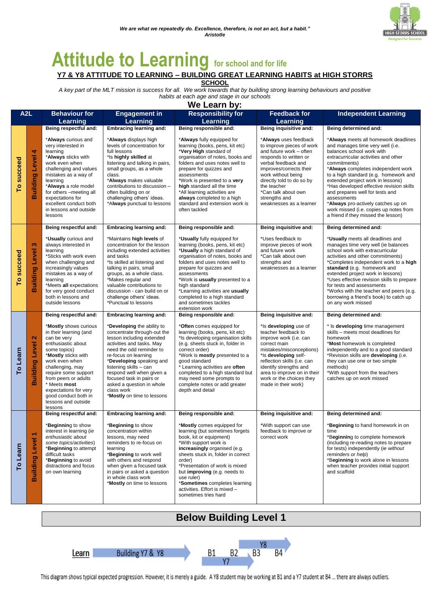

# **Attitude to Learning for school and for life**

**Y7 & Y8 ATTITUDE TO LEARNING – BUILDING GREAT LEARNING HABITS at HIGH STORRS SCHOOL**

*A key part of the MLT mission is success for all. We work towards that by building strong learning behaviours and positive habits at each age and stage in our schools*

**We Learn by:**

| A <sub>2</sub> L |                                            | <b>Behaviour for</b><br>Learning                                                                                                                                                                                                                                                                                     | <b>Engagement in</b><br>Learning                                                                                                                                                                                                                                                                                                                                | <b>Responsibility for</b><br>Learning                                                                                                                                                                                                                                                                                                                                                  | <b>Feedback for</b><br>Learning                                                                                                                                                                                                                                                                | <b>Independent Learning</b>                                                                                                                                                                                                                                                                                                                                                                                                                                                                            |
|------------------|--------------------------------------------|----------------------------------------------------------------------------------------------------------------------------------------------------------------------------------------------------------------------------------------------------------------------------------------------------------------------|-----------------------------------------------------------------------------------------------------------------------------------------------------------------------------------------------------------------------------------------------------------------------------------------------------------------------------------------------------------------|----------------------------------------------------------------------------------------------------------------------------------------------------------------------------------------------------------------------------------------------------------------------------------------------------------------------------------------------------------------------------------------|------------------------------------------------------------------------------------------------------------------------------------------------------------------------------------------------------------------------------------------------------------------------------------------------|--------------------------------------------------------------------------------------------------------------------------------------------------------------------------------------------------------------------------------------------------------------------------------------------------------------------------------------------------------------------------------------------------------------------------------------------------------------------------------------------------------|
|                  |                                            | Being respectful and:                                                                                                                                                                                                                                                                                                | Embracing learning and:                                                                                                                                                                                                                                                                                                                                         | Being responsible and:                                                                                                                                                                                                                                                                                                                                                                 | Being inquisitive and:                                                                                                                                                                                                                                                                         | Being determined and:                                                                                                                                                                                                                                                                                                                                                                                                                                                                                  |
| To succeed       | 4<br>Level<br>Building                     | *Always curious and<br>very interested in<br>learning<br>*Always sticks with<br>work even when<br>challenging and values<br>mistakes as a way of<br>learning<br>*Always a role model<br>for others -meeting all<br>expectations for<br>excellent conduct both<br>in lessons and outside<br>lessons                   | * <b>Always</b> displays high<br>levels of concentration for<br>full lessons<br>*Is highly skilled at<br>listening and talking in pairs,<br>small groups, as a whole<br>class.<br>*Always makes valuable<br>contributions to discussion -<br>often building on or<br>challenging others' ideas.<br>*Always punctual to lessons                                  | *Always fully equipped for<br>learning (books, pens, kit etc)<br>*Very High standard of<br>organisation of notes, books and<br>folders and uses notes well to<br>prepare for quizzes and<br>assessments<br>*Work is presented to a very<br>high standard all the time<br>*All learning activities are<br>always completed to a high<br>standard and extension work is<br>often tackled | *Always uses feedback<br>to improve pieces of work<br>and future work - often<br>responds to written or<br>verbal feedback and<br>improves/corrects their<br>work without being<br>directly told to do so by<br>the teacher<br>*Can talk about own<br>strengths and<br>weaknesses as a learner | *Always meets all homework deadlines<br>and manages time very well (i.e.<br>balances school work with<br>extracurricular activities and other<br>commitments)<br>*Always completes independent work<br>to a high standard (e.g. homework and<br>extended project work in lessons)<br>*Has developed effective revision skills<br>and prepares well for tests and<br>assessments<br>*Always pro-actively catches up on<br>work missed (i.e. copies up notes from<br>a friend if they missed the lesson) |
|                  |                                            | Being respectful and:                                                                                                                                                                                                                                                                                                | <b>Embracing learning and:</b>                                                                                                                                                                                                                                                                                                                                  | Being responsible and:                                                                                                                                                                                                                                                                                                                                                                 | Being inquisitive and:                                                                                                                                                                                                                                                                         | Being determined and:                                                                                                                                                                                                                                                                                                                                                                                                                                                                                  |
| succeed<br>P     | S<br><b>Building Level</b>                 | *Usually curious and<br>always interested in<br>learning<br>*Sticks with work even<br>when challenging and<br>increasingly values<br>mistakes as a way of<br>learning<br>*Meets all expectations<br>for very good conduct<br>both in lessons and<br>outside lessons                                                  | *Maintains <b>high levels</b> of<br>concentration for the lesson<br>including extended activities<br>and tasks<br>*Is skilled at listening and<br>talking in pairs, small<br>groups, as a whole class.<br>*Makes regular and<br>valuable contributions to<br>discussion - can build on or<br>challenge others' ideas.<br>*Punctual to lessons                   | *Usually fully equipped for<br>learning (books, pens, kit etc)<br>*Usually a high standard of<br>organisation of notes, books and<br>folders and uses notes well to<br>prepare for quizzes and<br>assessments<br>*Work is usually presented to a<br>high standard<br>*Learning activities are usually<br>completed to a high standard<br>and sometimes tackles<br>extension work       | *Uses feedback to<br>improve pieces of work<br>and future work<br>*Can talk about own<br>strengths and<br>weaknesses as a learner                                                                                                                                                              | *Usually meets all deadlines and<br>manages time very well (ie balances<br>school work with extracurricular<br>activities and other commitments)<br>*Completes independent work to a high<br>standard (e.g. homework and<br>extended project work in lessons)<br>*Uses effective revision skills to prepare<br>for tests and assessments<br>*Works with the teacher and peers (e.g.<br>borrowing a friend's book) to catch up<br>on any work missed                                                    |
|                  |                                            | Being respectful and:                                                                                                                                                                                                                                                                                                | <b>Embracing learning and:</b>                                                                                                                                                                                                                                                                                                                                  | Being responsible and:                                                                                                                                                                                                                                                                                                                                                                 | Being inquisitive and:                                                                                                                                                                                                                                                                         | Being determined and:                                                                                                                                                                                                                                                                                                                                                                                                                                                                                  |
| To Learn         | $\mathbf{\Omega}$<br><b>Building Level</b> | *Mostly shows curious<br>in their learning (and<br>can be very<br>enthusiastic about<br>some topics)<br>*Mostly sticks with<br>work even when<br>challenging, may<br>require some support<br>from peers or adults<br>* Meets most<br>expectations for very<br>good conduct both in<br>lessons and outside<br>lessons | *Developing the ability to<br>concentrate through-out the<br>lesson including extended<br>activities and tasks. May<br>need the odd reminder to<br>re-focus on learning<br>*Developing speaking and<br>listening skills - can<br>respond well when given a<br>focused task in pairs or<br>asked a question in whole<br>class work<br>*Mostly on time to lessons | *Often comes equipped for<br>learning (books, pens, kit etc)<br>*Is developing organisation skills<br>(e.g. sheets stuck in, folder in<br>correct order)<br>*Work is <b>mostly</b> presented to a<br>good standard<br>* Learning activities are often<br>completed to a high standard but<br>may need some prompts to<br>complete notes or add greater<br>depth and detail             | *Is developing use of<br>teacher feedback to<br>improve work (i.e. can<br>correct main<br>mistakes/misconceptions)<br>*ls developing self-<br>reflection skills (i.e. can<br>identify strengths and<br>area to improve on in their<br>work or the choices they<br>made in their work)          | * Is developing time management<br>skills - meets most deadlines for<br>homework<br>*Most homework is completed<br>independently and to a good standard<br>*Revision skills are developing (i.e.<br>they can use one or two simple<br>methods)<br>*With support from the teachers<br>catches up on work missed                                                                                                                                                                                         |
|                  |                                            | Being respectful and:                                                                                                                                                                                                                                                                                                | <b>Embracing learning and:</b>                                                                                                                                                                                                                                                                                                                                  | Being responsible and:                                                                                                                                                                                                                                                                                                                                                                 | Being inquisitive and:                                                                                                                                                                                                                                                                         | Being determined and:                                                                                                                                                                                                                                                                                                                                                                                                                                                                                  |
| To Learn         | <b>Building Level 1</b>                    | *Beginning to show<br>interest in learning (ie<br>enthusiastic about<br>some topics/activities)<br>*Beginning to attempt<br>difficult tasks<br>*Beginning to avoid<br>distractions and focus<br>on own learning                                                                                                      | *Beginning to show<br>concentration within<br>lessons, may need<br>reminders to re-focus on<br>learning<br>*Beginning to work well<br>with others and respond<br>when given a focused task<br>in pairs or asked a question<br>in whole class work<br>*Mostly on time to lessons                                                                                 | *Mostly comes equipped for<br>learning (but sometimes forgets<br>book, kit or equipment)<br>*With support work is<br>increasingly organised (e.g.<br>sheets stuck in, folder in correct<br>order)<br>*Presentation of work is mixed<br>but improving (e.g. needs to<br>use ruler)<br>*Sometimes completes learning<br>activities. Effort is mixed -<br>sometimes tries hard            | *With support can use<br>feedback to improve or<br>correct work                                                                                                                                                                                                                                | *Beginning to hand homework in on<br>time<br>*Beginning to complete homework<br>(including re-reading notes to prepare<br>for tests) independently (ie without<br>reminders or help)<br>*Beginning to work alone in lessons<br>when teacher provides initial support<br>and scaffold                                                                                                                                                                                                                   |





This diagram shows typical expected progression. However, it is merely a guide. A Y8 student may be working at B1 and a Y7 student at B4 ... there are always outliers.